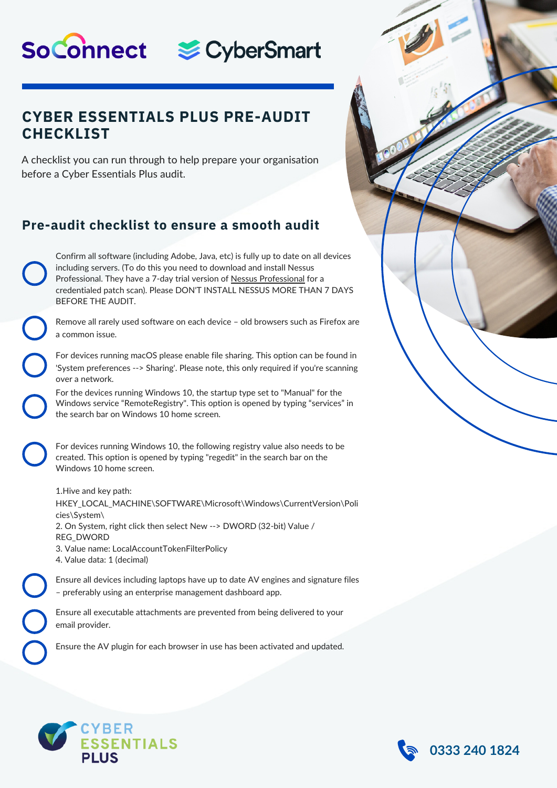# SoConnect & CyberSmart

### **CYBER ESSENTIALS PLUS PRE-AUDIT CHECKLIST**

A checklist you can run through to help prepare your organisation before a Cyber Essentials Plus audit.

## **Pre-audit checklist to ensure a smooth audit**

Confirm all software (including Adobe, Java, etc) is fully up to date on all devices including servers. (To do this you need to download and install Nessus Professional. They have a 7-day trial version of Nessus Professional for a credentialed patch scan). Please DON'T INSTALL NESSUS MORE THAN 7 DAYS BEFORE THE AUDIT.

Remove all rarely used software on each device – old browsers such as Firefox are a common issue.

For devices running macOS please enable file sharing. This option can be found in 'System preferences --> Sharing'. Please note, this only required if you're scanning over a network.

For the devices running Windows 10, the startup type set to "Manual" for the Windows service "RemoteRegistry". This option is opened by typing "services" in the search bar on Windows 10 home screen.

For devices running Windows 10, the following registry value also needs to be created. This option is opened by typing "regedit" in the search bar on the Windows 10 home screen.

1.Hive and key path: HKEY\_LOCAL\_MACHINE\SOFTWARE\Microsoft\Windows\CurrentVersion\Poli cies\System\ 2. On System, right click then select New --> DWORD (32-bit) Value / REG\_DWORD 3. Value name: LocalAccountTokenFilterPolicy 4. Value data: 1 (decimal)

Ensure all devices including laptops have up to date AV engines and signature files – preferably using an enterprise management dashboard app.

Ensure all executable attachments are prevented from being delivered to your email provider.

Ensure the AV plugin for each browser in use has been activated and updated.